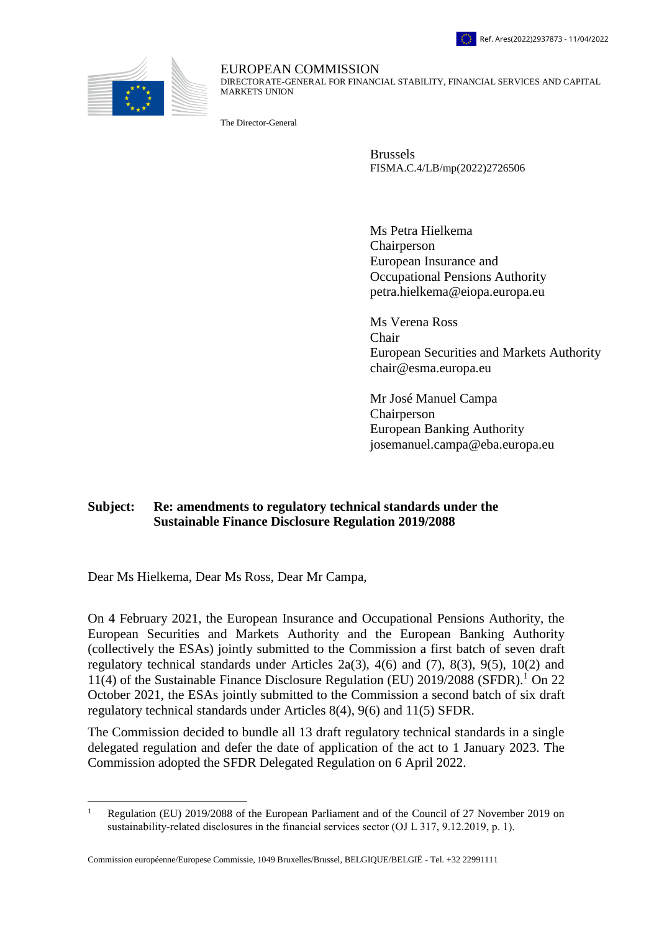



EUROPEAN COMMISSION DIRECTORATE-GENERAL FOR FINANCIAL STABILITY, FINANCIAL SERVICES AND CAPITAL MARKETS UNION

The Director-General

Brussels FISMA.C.4/LB/mp(2022)2726506

Ms Petra Hielkema Chairperson European Insurance and Occupational Pensions Authority petra.hielkema@eiopa.europa.eu

Ms Verena Ross Chair European Securities and Markets Authority chair@esma.europa.eu

Mr José Manuel Campa Chairperson European Banking Authority josemanuel.campa@eba.europa.eu

## **Subject: Re: amendments to regulatory technical standards under the Sustainable Finance Disclosure Regulation 2019/2088**

Dear Ms Hielkema, Dear Ms Ross, Dear Mr Campa,

 $\overline{a}$ 

On 4 February 2021, the European Insurance and Occupational Pensions Authority, the European Securities and Markets Authority and the European Banking Authority (collectively the ESAs) jointly submitted to the Commission a first batch of seven draft regulatory technical standards under Articles  $2a(3)$ ,  $4(6)$  and  $(7)$ ,  $8(3)$ ,  $9(5)$ ,  $10(2)$  and 11(4) of the Sustainable Finance Disclosure Regulation (EU)  $2019/2088$  (SFDR).<sup>1</sup> On 22 October 2021, the ESAs jointly submitted to the Commission a second batch of six draft regulatory technical standards under Articles 8(4), 9(6) and 11(5) SFDR.

The Commission decided to bundle all 13 draft regulatory technical standards in a single delegated regulation and defer the date of application of the act to 1 January 2023. The Commission adopted the SFDR Delegated Regulation on 6 April 2022.

Commission européenne/Europese Commissie, 1049 Bruxelles/Brussel, BELGIQUE/BELGIË - Tel. +32 22991111

<sup>&</sup>lt;sup>1</sup> Regulation (EU) 2019/2088 of the European Parliament and of the Council of 27 November 2019 on sustainability-related disclosures in the financial services sector (OJ L 317, 9.12.2019, p. 1).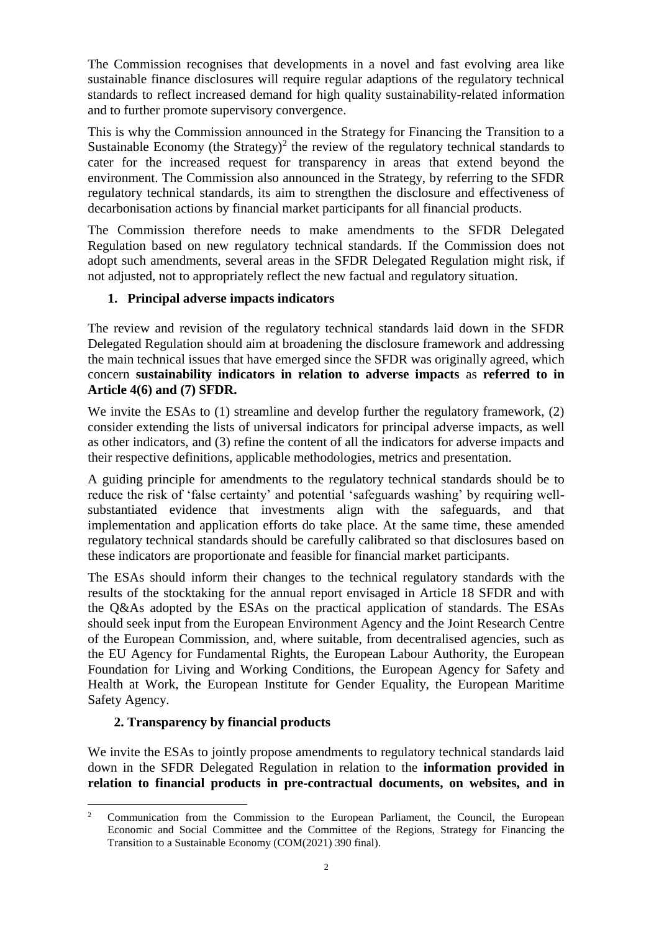The Commission recognises that developments in a novel and fast evolving area like sustainable finance disclosures will require regular adaptions of the regulatory technical standards to reflect increased demand for high quality sustainability-related information and to further promote supervisory convergence.

This is why the Commission announced in the Strategy for Financing the Transition to a Sustainable Economy (the Strategy)<sup>2</sup> the review of the regulatory technical standards to cater for the increased request for transparency in areas that extend beyond the environment. The Commission also announced in the Strategy, by referring to the SFDR regulatory technical standards, its aim to strengthen the disclosure and effectiveness of decarbonisation actions by financial market participants for all financial products.

The Commission therefore needs to make amendments to the SFDR Delegated Regulation based on new regulatory technical standards. If the Commission does not adopt such amendments, several areas in the SFDR Delegated Regulation might risk, if not adjusted, not to appropriately reflect the new factual and regulatory situation.

## **1. Principal adverse impacts indicators**

The review and revision of the regulatory technical standards laid down in the SFDR Delegated Regulation should aim at broadening the disclosure framework and addressing the main technical issues that have emerged since the SFDR was originally agreed, which concern **sustainability indicators in relation to adverse impacts** as **referred to in Article 4(6) and (7) SFDR.** 

We invite the ESAs to (1) streamline and develop further the regulatory framework, (2) consider extending the lists of universal indicators for principal adverse impacts, as well as other indicators, and (3) refine the content of all the indicators for adverse impacts and their respective definitions, applicable methodologies, metrics and presentation.

A guiding principle for amendments to the regulatory technical standards should be to reduce the risk of 'false certainty' and potential 'safeguards washing' by requiring wellsubstantiated evidence that investments align with the safeguards, and that implementation and application efforts do take place. At the same time, these amended regulatory technical standards should be carefully calibrated so that disclosures based on these indicators are proportionate and feasible for financial market participants.

The ESAs should inform their changes to the technical regulatory standards with the results of the stocktaking for the annual report envisaged in Article 18 SFDR and with the Q&As adopted by the ESAs on the practical application of standards. The ESAs should seek input from the European Environment Agency and the Joint Research Centre of the European Commission, and, where suitable, from decentralised agencies, such as the EU Agency for Fundamental Rights, the European Labour Authority, the European Foundation for Living and Working Conditions, the European Agency for Safety and Health at Work, the European Institute for Gender Equality, the European Maritime Safety Agency.

## **2. Transparency by financial products**

We invite the ESAs to jointly propose amendments to regulatory technical standards laid down in the SFDR Delegated Regulation in relation to the **information provided in relation to financial products in pre-contractual documents, on websites, and in** 

 $\overline{a}$ <sup>2</sup> Communication from the Commission to the European Parliament, the Council, the European Economic and Social Committee and the Committee of the Regions, Strategy for Financing the Transition to a Sustainable Economy (COM(2021) 390 final).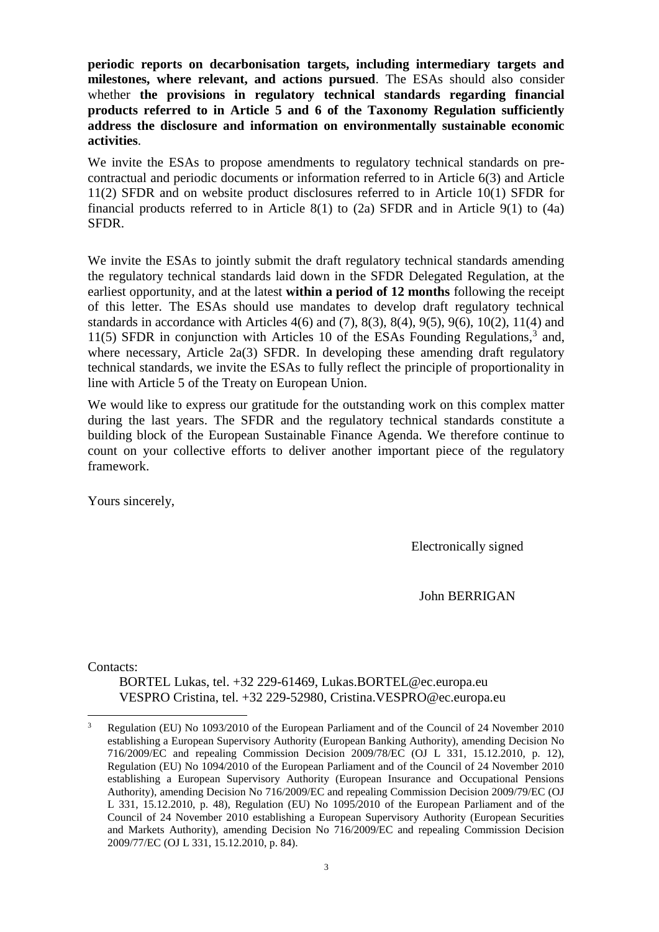**periodic reports on decarbonisation targets, including intermediary targets and milestones, where relevant, and actions pursued**. The ESAs should also consider whether **the provisions in regulatory technical standards regarding financial products referred to in Article 5 and 6 of the Taxonomy Regulation sufficiently address the disclosure and information on environmentally sustainable economic activities**.

We invite the ESAs to propose amendments to regulatory technical standards on precontractual and periodic documents or information referred to in Article 6(3) and Article 11(2) SFDR and on website product disclosures referred to in Article 10(1) SFDR for financial products referred to in Article 8(1) to (2a) SFDR and in Article 9(1) to (4a) SFDR.

We invite the ESAs to jointly submit the draft regulatory technical standards amending the regulatory technical standards laid down in the SFDR Delegated Regulation, at the earliest opportunity, and at the latest **within a period of 12 months** following the receipt of this letter. The ESAs should use mandates to develop draft regulatory technical standards in accordance with Articles 4(6) and (7), 8(3), 8(4), 9(5), 9(6), 10(2), 11(4) and 11(5) SFDR in conjunction with Articles 10 of the ESAs Founding Regulations, $3$  and, where necessary, Article 2a(3) SFDR. In developing these amending draft regulatory technical standards, we invite the ESAs to fully reflect the principle of proportionality in line with Article 5 of the Treaty on European Union.

We would like to express our gratitude for the outstanding work on this complex matter during the last years. The SFDR and the regulatory technical standards constitute a building block of the European Sustainable Finance Agenda. We therefore continue to count on your collective efforts to deliver another important piece of the regulatory framework.

Yours sincerely,

Electronically signed

John BERRIGAN

Contacts:

BORTEL Lukas, tel. +32 229-61469, Lukas.BORTEL@ec.europa.eu VESPRO Cristina, tel. +32 229-52980, Cristina.VESPRO@ec.europa.eu

 $\overline{3}$ <sup>3</sup> Regulation (EU) No 1093/2010 of the European Parliament and of the Council of 24 November 2010 establishing a European Supervisory Authority (European Banking Authority), amending Decision No 716/2009/EC and repealing Commission Decision 2009/78/EC (OJ L 331, 15.12.2010, p. 12), Regulation (EU) No 1094/2010 of the European Parliament and of the Council of 24 November 2010 establishing a European Supervisory Authority (European Insurance and Occupational Pensions Authority), amending Decision No 716/2009/EC and repealing Commission Decision 2009/79/EC (OJ L 331, 15.12.2010, p. 48), Regulation (EU) No 1095/2010 of the European Parliament and of the Council of 24 November 2010 establishing a European Supervisory Authority (European Securities and Markets Authority), amending Decision No 716/2009/EC and repealing Commission Decision 2009/77/EC (OJ L 331, 15.12.2010, p. 84).